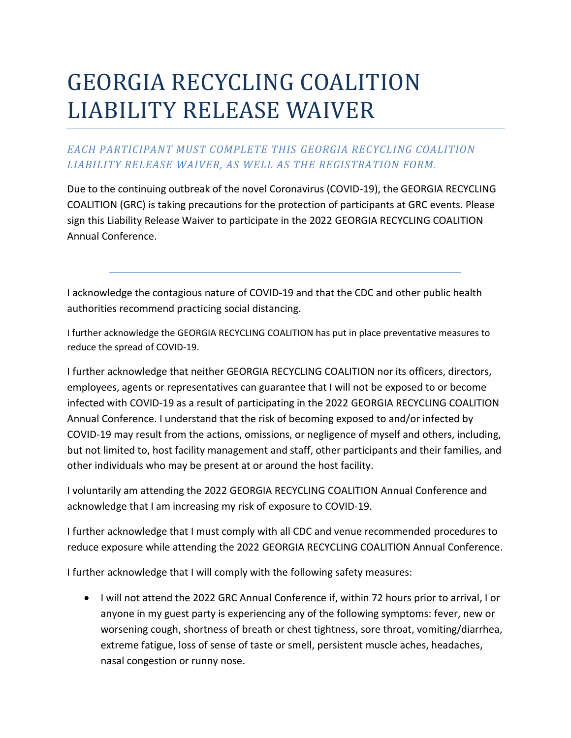## GEORGIA RECYCLING COALITION LIABILITY RELEASE WAIVER

## *EACH PARTICIPANT MUST COMPLETE THIS GEORGIA RECYCLING COALITION LIABILITY RELEASE WAIVER, AS WELL AS THE REGISTRATION FORM.*

Due to the continuing outbreak of the novel Coronavirus (COVID-19), the GEORGIA RECYCLING COALITION (GRC) is taking precautions for the protection of participants at GRC events. Please sign this Liability Release Waiver to participate in the 2022 GEORGIA RECYCLING COALITION Annual Conference.

I acknowledge the contagious nature of COVID-19 and that the CDC and other public health authorities recommend practicing social distancing.

I further acknowledge the GEORGIA RECYCLING COALITION has put in place preventative measures to reduce the spread of COVID-19.

I further acknowledge that neither GEORGIA RECYCLING COALITION nor its officers, directors, employees, agents or representatives can guarantee that I will not be exposed to or become infected with COVID-19 as a result of participating in the 2022 GEORGIA RECYCLING COALITION Annual Conference. I understand that the risk of becoming exposed to and/or infected by COVID-19 may result from the actions, omissions, or negligence of myself and others, including, but not limited to, host facility management and staff, other participants and their families, and other individuals who may be present at or around the host facility.

I voluntarily am attending the 2022 GEORGIA RECYCLING COALITION Annual Conference and acknowledge that I am increasing my risk of exposure to COVID-19.

I further acknowledge that I must comply with all CDC and venue recommended procedures to reduce exposure while attending the 2022 GEORGIA RECYCLING COALITION Annual Conference.

I further acknowledge that I will comply with the following safety measures:

• I will not attend the 2022 GRC Annual Conference if, within 72 hours prior to arrival, I or anyone in my guest party is experiencing any of the following symptoms: fever, new or worsening cough, shortness of breath or chest tightness, sore throat, vomiting/diarrhea, extreme fatigue, loss of sense of taste or smell, persistent muscle aches, headaches, nasal congestion or runny nose.